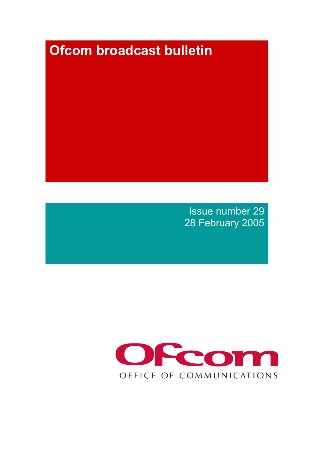# **Ofcom broadcast bulletin**

Issue number 29 28 February 2005

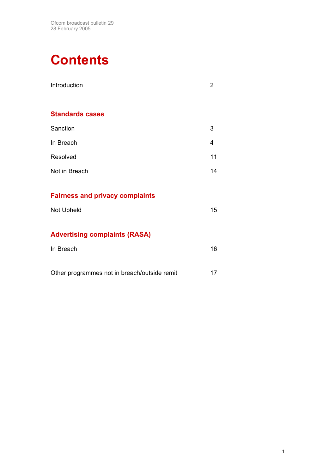# **Contents**

| Introduction                                 | $\overline{2}$ |
|----------------------------------------------|----------------|
| <b>Standards cases</b>                       |                |
| Sanction                                     | 3              |
| In Breach                                    | 4              |
| Resolved                                     | 11             |
| Not in Breach                                | 14             |
| <b>Fairness and privacy complaints</b>       |                |
| Not Upheld                                   | 15             |
| <b>Advertising complaints (RASA)</b>         |                |
| In Breach                                    | 16             |
| Other programmes not in breach/outside remit | 17             |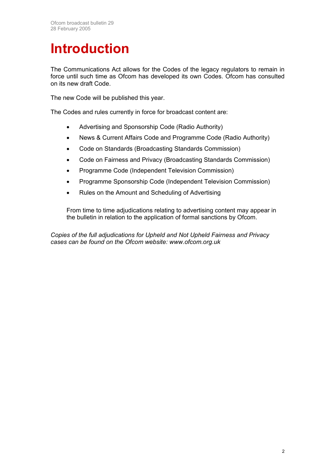# **Introduction**

The Communications Act allows for the Codes of the legacy regulators to remain in force until such time as Ofcom has developed its own Codes. Ofcom has consulted on its new draft Code.

The new Code will be published this year.

The Codes and rules currently in force for broadcast content are:

- Advertising and Sponsorship Code (Radio Authority)
- News & Current Affairs Code and Programme Code (Radio Authority)
- Code on Standards (Broadcasting Standards Commission)
- Code on Fairness and Privacy (Broadcasting Standards Commission)
- Programme Code (Independent Television Commission)
- Programme Sponsorship Code (Independent Television Commission)
- Rules on the Amount and Scheduling of Advertising

From time to time adjudications relating to advertising content may appear in the bulletin in relation to the application of formal sanctions by Ofcom.

*Copies of the full adjudications for Upheld and Not Upheld Fairness and Privacy cases can be found on the Ofcom website: www.ofcom.org.uk*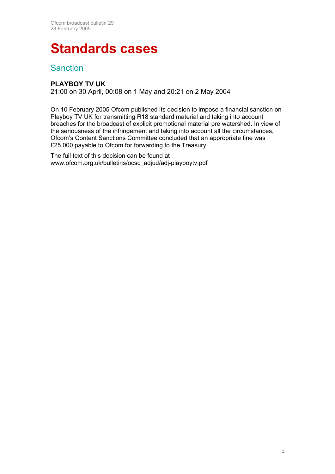## **Standards cases**

### **Sanction**

### **PLAYBOY TV UK**

21:00 on 30 April, 00:08 on 1 May and 20:21 on 2 May 2004

On 10 February 2005 Ofcom published its decision to impose a financial sanction on Playboy TV UK for transmitting R18 standard material and taking into account breaches for the broadcast of explicit promotional material pre watershed. In view of the seriousness of the infringement and taking into account all the circumstances, Ofcom's Content Sanctions Committee concluded that an appropriate fine was £25,000 payable to Ofcom for forwarding to the Treasury.

The full text of this decision can be found at www.ofcom.org.uk/bulletins/ocsc\_adjud/adj-playboytv.pdf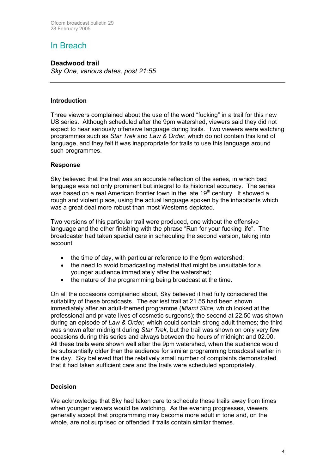## In Breach

#### **Deadwood trail**

*Sky One, various dates, post 21:55* 

#### **Introduction**

Three viewers complained about the use of the word "fucking" in a trail for this new US series. Although scheduled after the 9pm watershed, viewers said they did not expect to hear seriously offensive language during trails. Two viewers were watching programmes such as *Star Trek* and *Law & Order*, which do not contain this kind of language, and they felt it was inappropriate for trails to use this language around such programmes.

#### **Response**

Sky believed that the trail was an accurate reflection of the series, in which bad language was not only prominent but integral to its historical accuracy. The series was based on a real American frontier town in the late 19<sup>th</sup> century. It showed a rough and violent place, using the actual language spoken by the inhabitants which was a great deal more robust than most Westerns depicted.

Two versions of this particular trail were produced, one without the offensive language and the other finishing with the phrase "Run for your fucking life". The broadcaster had taken special care in scheduling the second version, taking into account

- the time of day, with particular reference to the 9pm watershed;
- the need to avoid broadcasting material that might be unsuitable for a younger audience immediately after the watershed;
- the nature of the programming being broadcast at the time.

On all the occasions complained about, Sky believed it had fully considered the suitability of these broadcasts. The earliest trail at 21.55 had been shown immediately after an adult-themed programme (*Miami Slice,* which looked at the professional and private lives of cosmetic surgeons); the second at 22.50 was shown during an episode of *Law & Order,* which could contain strong adult themes; the third was shown after midnight during *Star Trek,* but the trail was shown on only very few occasions during this series and always between the hours of midnight and 02.00. All these trails were shown well after the 9pm watershed, when the audience would be substantially older than the audience for similar programming broadcast earlier in the day. Sky believed that the relatively small number of complaints demonstrated that it had taken sufficient care and the trails were scheduled appropriately.

#### **Decision**

We acknowledge that Sky had taken care to schedule these trails away from times when younger viewers would be watching. As the evening progresses, viewers generally accept that programming may become more adult in tone and, on the whole, are not surprised or offended if trails contain similar themes.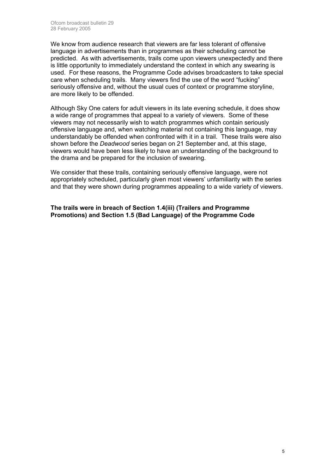We know from audience research that viewers are far less tolerant of offensive language in advertisements than in programmes as their scheduling cannot be predicted. As with advertisements, trails come upon viewers unexpectedly and there is little opportunity to immediately understand the context in which any swearing is used. For these reasons, the Programme Code advises broadcasters to take special care when scheduling trails. Many viewers find the use of the word "fucking" seriously offensive and, without the usual cues of context or programme storyline, are more likely to be offended.

Although Sky One caters for adult viewers in its late evening schedule, it does show a wide range of programmes that appeal to a variety of viewers. Some of these viewers may not necessarily wish to watch programmes which contain seriously offensive language and, when watching material not containing this language, may understandably be offended when confronted with it in a trail. These trails were also shown before the *Deadwood* series began on 21 September and, at this stage, viewers would have been less likely to have an understanding of the background to the drama and be prepared for the inclusion of swearing.

We consider that these trails, containing seriously offensive language, were not appropriately scheduled, particularly given most viewers' unfamiliarity with the series and that they were shown during programmes appealing to a wide variety of viewers.

**The trails were in breach of Section 1.4(iii) (Trailers and Programme Promotions) and Section 1.5 (Bad Language) of the Programme Code**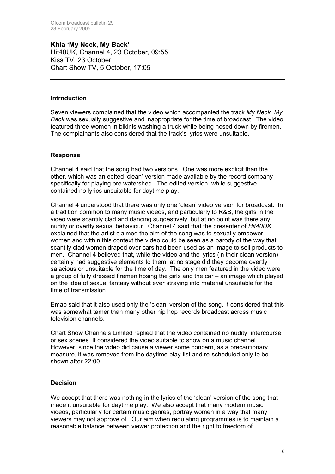**Khia 'My Neck, My Back'**  Hit40UK, Channel 4, 23 October, 09:55 Kiss TV, 23 October Chart Show TV, 5 October, 17:05

#### **Introduction**

Seven viewers complained that the video which accompanied the track *My Neck, My Back* was sexually suggestive and inappropriate for the time of broadcast. The video featured three women in bikinis washing a truck while being hosed down by firemen. The complainants also considered that the track's lyrics were unsuitable.

#### **Response**

Channel 4 said that the song had two versions. One was more explicit than the other, which was an edited 'clean' version made available by the record company specifically for playing pre watershed. The edited version, while suggestive, contained no lyrics unsuitable for daytime play.

Channel 4 understood that there was only one 'clean' video version for broadcast. In a tradition common to many music videos, and particularly to R&B, the girls in the video were scantily clad and dancing suggestively, but at no point was there any nudity or overtly sexual behaviour. Channel 4 said that the presenter of *Hit40UK* explained that the artist claimed the aim of the song was to sexually empower women and within this context the video could be seen as a parody of the way that scantily clad women draped over cars had been used as an image to sell products to men. Channel 4 believed that, while the video and the lyrics (in their clean version) certainly had suggestive elements to them, at no stage did they become overtly salacious or unsuitable for the time of day. The only men featured in the video were a group of fully dressed firemen hosing the girls and the car – an image which played on the idea of sexual fantasy without ever straying into material unsuitable for the time of transmission.

Emap said that it also used only the 'clean' version of the song. It considered that this was somewhat tamer than many other hip hop records broadcast across music television channels.

Chart Show Channels Limited replied that the video contained no nudity, intercourse or sex scenes. It considered the video suitable to show on a music channel. However, since the video did cause a viewer some concern, as a precautionary measure, it was removed from the daytime play-list and re-scheduled only to be shown after 22:00.

#### **Decision**

We accept that there was nothing in the lyrics of the 'clean' version of the song that made it unsuitable for daytime play. We also accept that many modern music videos, particularly for certain music genres, portray women in a way that many viewers may not approve of. Our aim when regulating programmes is to maintain a reasonable balance between viewer protection and the right to freedom of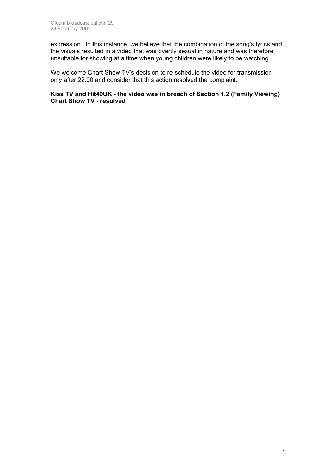expression. In this instance, we believe that the combination of the song's lyrics and the visuals resulted in a video that was overtly sexual in nature and was therefore unsuitable for showing at a time when young children were likely to be watching.

We welcome Chart Show TV's decision to re-schedule the video for transmission only after 22:00 and consider that this action resolved the complaint.

#### **Kiss TV and Hit40UK - the video was in breach of Section 1.2 (Family Viewing) Chart Show TV - resolved**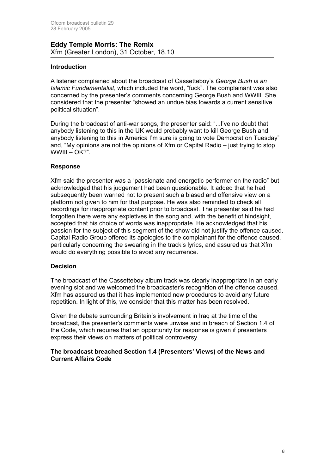#### **Eddy Temple Morris: The Remix** Xfm (Greater London), 31 October, 18.10

#### **Introduction**

A listener complained about the broadcast of Cassetteboy's *George Bush is an Islamic Fundamentalist*, which included the word, "fuck". The complainant was also concerned by the presenter's comments concerning George Bush and WWIII. She considered that the presenter "showed an undue bias towards a current sensitive political situation".

During the broadcast of anti-war songs, the presenter said: "...I've no doubt that anybody listening to this in the UK would probably want to kill George Bush and anybody listening to this in America I'm sure is going to vote Democrat on Tuesday" and, "My opinions are not the opinions of Xfm or Capital Radio – just trying to stop WWIII – OK?".

#### **Response**

Xfm said the presenter was a "passionate and energetic performer on the radio" but acknowledged that his judgement had been questionable. It added that he had subsequently been warned not to present such a biased and offensive view on a platform not given to him for that purpose. He was also reminded to check all recordings for inappropriate content prior to broadcast. The presenter said he had forgotten there were any expletives in the song and, with the benefit of hindsight, accepted that his choice of words was inappropriate. He acknowledged that his passion for the subject of this segment of the show did not justify the offence caused. Capital Radio Group offered its apologies to the complainant for the offence caused, particularly concerning the swearing in the track's lyrics, and assured us that Xfm would do everything possible to avoid any recurrence.

#### **Decision**

The broadcast of the Cassetteboy album track was clearly inappropriate in an early evening slot and we welcomed the broadcaster's recognition of the offence caused. Xfm has assured us that it has implemented new procedures to avoid any future repetition. In light of this, we consider that this matter has been resolved.

Given the debate surrounding Britain's involvement in Iraq at the time of the broadcast, the presenter's comments were unwise and in breach of Section 1.4 of the Code, which requires that an opportunity for response is given if presenters express their views on matters of political controversy.

#### **The broadcast breached Section 1.4 (Presenters' Views) of the News and Current Affairs Code**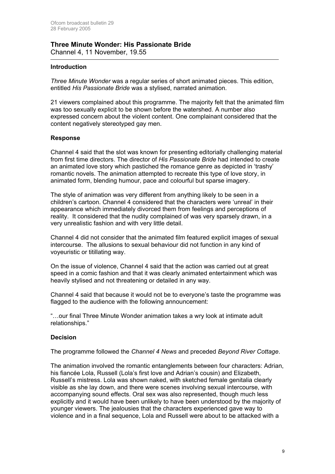#### **Three Minute Wonder: His Passionate Bride**  Channel 4, 11 November, 19.55

#### **Introduction**

*Three Minute Wonder* was a regular series of short animated pieces. This edition, entitled *His Passionate Bride* was a stylised, narrated animation.

21 viewers complained about this programme. The majority felt that the animated film was too sexually explicit to be shown before the watershed. A number also expressed concern about the violent content. One complainant considered that the content negatively stereotyped gay men.

#### **Response**

Channel 4 said that the slot was known for presenting editorially challenging material from first time directors. The director of *His Passionate Bride* had intended to create an animated love story which pastiched the romance genre as depicted in 'trashy' romantic novels. The animation attempted to recreate this type of love story, in animated form, blending humour, pace and colourful but sparse imagery.

The style of animation was very different from anything likely to be seen in a children's cartoon. Channel 4 considered that the characters were 'unreal' in their appearance which immediately divorced them from feelings and perceptions of reality. It considered that the nudity complained of was very sparsely drawn, in a very unrealistic fashion and with very little detail.

Channel 4 did not consider that the animated film featured explicit images of sexual intercourse. The allusions to sexual behaviour did not function in any kind of voyeuristic or titillating way.

On the issue of violence, Channel 4 said that the action was carried out at great speed in a comic fashion and that it was clearly animated entertainment which was heavily stylised and not threatening or detailed in any way.

Channel 4 said that because it would not be to everyone's taste the programme was flagged to the audience with the following announcement:

"…our final Three Minute Wonder animation takes a wry look at intimate adult relationships."

#### **Decision**

The programme followed the *Channel 4 News* and preceded *Beyond River Cottage*.

The animation involved the romantic entanglements between four characters: Adrian, his fiancée Lola, Russell (Lola's first love and Adrian's cousin) and Elizabeth, Russell's mistress. Lola was shown naked, with sketched female genitalia clearly visible as she lay down, and there were scenes involving sexual intercourse, with accompanying sound effects. Oral sex was also represented, though much less explicitly and it would have been unlikely to have been understood by the majority of younger viewers. The jealousies that the characters experienced gave way to violence and in a final sequence, Lola and Russell were about to be attacked with a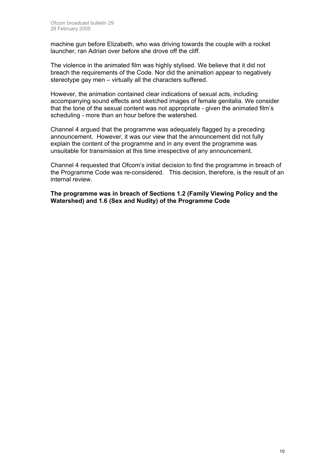machine gun before Elizabeth, who was driving towards the couple with a rocket launcher, ran Adrian over before she drove off the cliff.

The violence in the animated film was highly stylised. We believe that it did not breach the requirements of the Code. Nor did the animation appear to negatively stereotype gay men – virtually all the characters suffered.

However, the animation contained clear indications of sexual acts, including accompanying sound effects and sketched images of female genitalia. We consider that the tone of the sexual content was not appropriate - given the animated film's scheduling - more than an hour before the watershed.

Channel 4 argued that the programme was adequately flagged by a preceding announcement. However, it was our view that the announcement did not fully explain the content of the programme and in any event the programme was unsuitable for transmission at this time irrespective of any announcement.

Channel 4 requested that Ofcom's initial decision to find the programme in breach of the Programme Code was re-considered. This decision, therefore, is the result of an internal review.

**The programme was in breach of Sections 1.2 (Family Viewing Policy and the Watershed) and 1.6 (Sex and Nudity) of the Programme Code**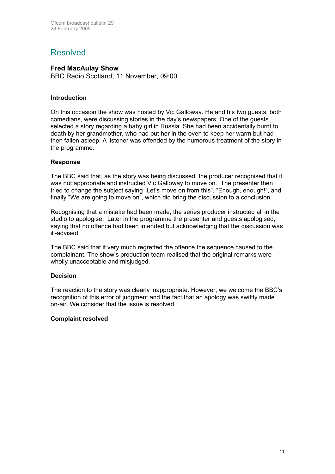### Resolved

#### **Fred MacAulay Show**

BBC Radio Scotland, 11 November, 09:00

#### **Introduction**

On this occasion the show was hosted by Vic Galloway. He and his two guests, both comedians, were discussing stories in the day's newspapers. One of the guests selected a story regarding a baby girl in Russia. She had been accidentally burnt to death by her grandmother, who had put her in the oven to keep her warm but had then fallen asleep. A listener was offended by the humorous treatment of the story in the programme.

#### **Response**

The BBC said that, as the story was being discussed, the producer recognised that it was not appropriate and instructed Vic Galloway to move on. The presenter then tried to change the subject saying "Let's move on from this", "Enough, enough!", and finally "We are going to move on", which did bring the discussion to a conclusion.

Recognising that a mistake had been made, the series producer instructed all in the studio to apologise. Later in the programme the presenter and guests apologised, saying that no offence had been intended but acknowledging that the discussion was ill-advised.

The BBC said that it very much regretted the offence the sequence caused to the complainant. The show's production team realised that the original remarks were wholly unacceptable and misjudged.

#### **Decision**

The reaction to the story was clearly inappropriate. However, we welcome the BBC's recognition of this error of judgment and the fact that an apology was swiftly made on-air. We consider that the issue is resolved.

#### **Complaint resolved**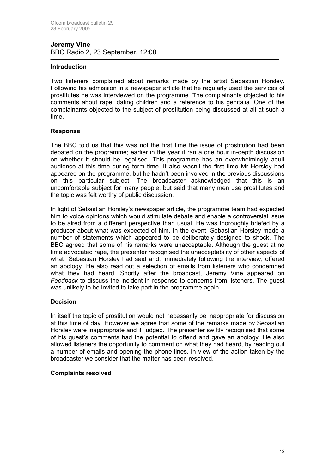#### **Jeremy Vine**  BBC Radio 2, 23 September, 12:00

#### **Introduction**

Two listeners complained about remarks made by the artist Sebastian Horsley. Following his admission in a newspaper article that he regularly used the services of prostitutes he was interviewed on the programme. The complainants objected to his comments about rape; dating children and a reference to his genitalia. One of the complainants objected to the subject of prostitution being discussed at all at such a time.

#### **Response**

The BBC told us that this was not the first time the issue of prostitution had been debated on the programme; earlier in the year it ran a one hour in-depth discussion on whether it should be legalised. This programme has an overwhelmingly adult audience at this time during term time. It also wasn't the first time Mr Horsley had appeared on the programme, but he hadn't been involved in the previous discussions on this particular subject. The broadcaster acknowledged that this is an uncomfortable subject for many people, but said that many men use prostitutes and the topic was felt worthy of public discussion.

In light of Sebastian Horsley's newspaper article, the programme team had expected him to voice opinions which would stimulate debate and enable a controversial issue to be aired from a different perspective than usual. He was thoroughly briefed by a producer about what was expected of him. In the event, Sebastian Horsley made a number of statements which appeared to be deliberately designed to shock. The BBC agreed that some of his remarks were unacceptable. Although the guest at no time advocated rape, the presenter recognised the unacceptability of other aspects of what Sebastian Horsley had said and, immediately following the interview, offered an apology. He also read out a selection of emails from listeners who condemned what they had heard. Shortly after the broadcast, Jeremy Vine appeared on *Feedback* to discuss the incident in response to concerns from listeners. The guest was unlikely to be invited to take part in the programme again.

#### **Decision**

In itself the topic of prostitution would not necessarily be inappropriate for discussion at this time of day. However we agree that some of the remarks made by Sebastian Horsley were inappropriate and ill judged. The presenter swiftly recognised that some of his guest's comments had the potential to offend and gave an apology. He also allowed listeners the opportunity to comment on what they had heard, by reading out a number of emails and opening the phone lines. In view of the action taken by the broadcaster we consider that the matter has been resolved.

#### **Complaints resolved**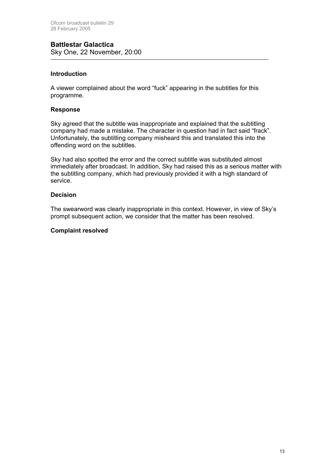#### **Battlestar Galactica**  Sky One, 22 November, 20:00

#### **Introduction**

A viewer complained about the word "fuck" appearing in the subtitles for this programme.

#### **Response**

Sky agreed that the subtitle was inappropriate and explained that the subtitling company had made a mistake. The character in question had in fact said "frack". Unfortunately, the subtitling company misheard this and translated this into the offending word on the subtitles.

Sky had also spotted the error and the correct subtitle was substituted almost immediately after broadcast. In addition, Sky had raised this as a serious matter with the subtitling company, which had previously provided it with a high standard of service.

#### **Decision**

The swearword was clearly inappropriate in this context. However, in view of Sky's prompt subsequent action, we consider that the matter has been resolved.

#### **Complaint resolved**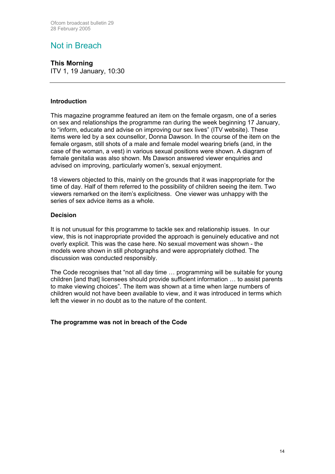## Not in Breach

#### **This Morning**

ITV 1, 19 January, 10:30

#### **Introduction**

This magazine programme featured an item on the female orgasm, one of a series on sex and relationships the programme ran during the week beginning 17 January, to "inform, educate and advise on improving our sex lives" (ITV website). These items were led by a sex counsellor, Donna Dawson. In the course of the item on the female orgasm, still shots of a male and female model wearing briefs (and, in the case of the woman, a vest) in various sexual positions were shown. A diagram of female genitalia was also shown. Ms Dawson answered viewer enquiries and advised on improving, particularly women's, sexual enjoyment.

18 viewers objected to this, mainly on the grounds that it was inappropriate for the time of day. Half of them referred to the possibility of children seeing the item. Two viewers remarked on the item's explicitness. One viewer was unhappy with the series of sex advice items as a whole.

#### **Decision**

It is not unusual for this programme to tackle sex and relationship issues. In our view, this is not inappropriate provided the approach is genuinely educative and not overly explicit. This was the case here. No sexual movement was shown - the models were shown in still photographs and were appropriately clothed. The discussion was conducted responsibly.

The Code recognises that "not all day time … programming will be suitable for young children [and that] licensees should provide sufficient information … to assist parents to make viewing choices". The item was shown at a time when large numbers of children would not have been available to view, and it was introduced in terms which left the viewer in no doubt as to the nature of the content.

#### **The programme was not in breach of the Code**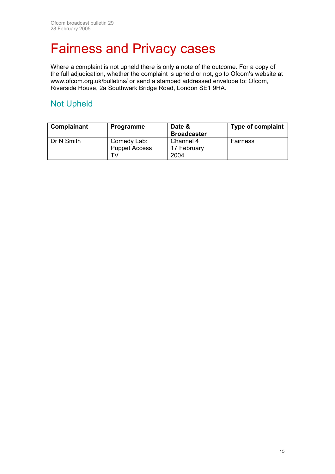## Fairness and Privacy cases

Where a complaint is not upheld there is only a note of the outcome. For a copy of the full adjudication, whether the complaint is upheld or not, go to Ofcom's website at [www.ofcom.org.uk/bulletins/](http://www.ofcom.org.uk/bulletins/) or send a stamped addressed envelope to: Ofcom, Riverside House, 2a Southwark Bridge Road, London SE1 9HA.

## Not Upheld

| Complainant | <b>Programme</b>                          | Date &<br><b>Broadcaster</b>     | <b>Type of complaint</b> |
|-------------|-------------------------------------------|----------------------------------|--------------------------|
| Dr N Smith  | Comedy Lab:<br><b>Puppet Access</b><br>T۷ | Channel 4<br>17 February<br>2004 | Fairness                 |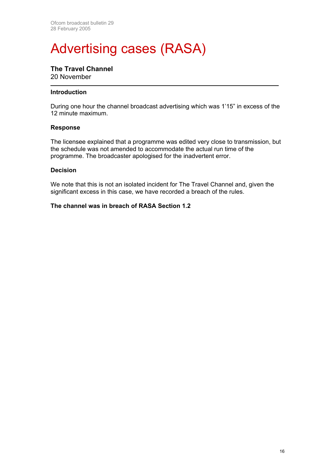## Advertising cases (RASA)

### **The Travel Channel**

20 November

#### **Introduction**

During one hour the channel broadcast advertising which was 1'15" in excess of the 12 minute maximum.

#### **Response**

The licensee explained that a programme was edited very close to transmission, but the schedule was not amended to accommodate the actual run time of the programme. The broadcaster apologised for the inadvertent error.

#### **Decision**

We note that this is not an isolated incident for The Travel Channel and, given the significant excess in this case, we have recorded a breach of the rules.

#### **The channel was in breach of RASA Section 1.2**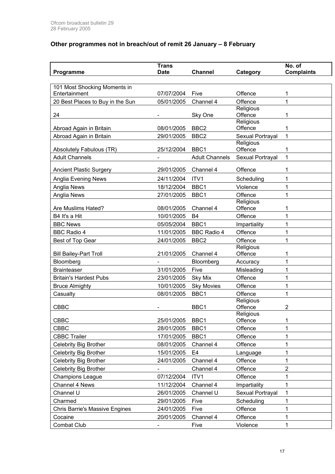### **Other programmes not in breach/out of remit 26 January – 8 February**

|                                  | <b>Trans</b>   |                        |                      | No. of            |
|----------------------------------|----------------|------------------------|----------------------|-------------------|
| Programme                        | <b>Date</b>    | <b>Channel</b>         | Category             | <b>Complaints</b> |
| 101 Most Shocking Moments in     |                |                        |                      |                   |
| Entertainment                    | 07/07/2004     | Five                   | Offence              | 1                 |
| 20 Best Places to Buy in the Sun | 05/01/2005     | Channel 4              | Offence              | 1                 |
| 24                               |                | Sky One                | Religious<br>Offence | 1                 |
|                                  |                |                        | Religious            |                   |
| Abroad Again in Britain          | 08/01/2005     | BBC <sub>2</sub>       | Offence              | 1                 |
| Abroad Again in Britain          | 29/01/2005     | BBC <sub>2</sub>       | Sexual Portrayal     | 1                 |
| Absolutely Fabulous (TR)         | 25/12/2004     | BBC1                   | Religious<br>Offence | 1                 |
| <b>Adult Channels</b>            |                | <b>Adult Channels</b>  | Sexual Portrayal     | 1                 |
|                                  |                |                        |                      |                   |
| <b>Ancient Plastic Surgery</b>   | 29/01/2005     | Channel 4              | Offence              | 1                 |
| Anglia Evening News              | 24/11/2004     | ITV1                   | Scheduling           | 1                 |
| Anglia News                      | 18/12/2004     | BBC1                   | Violence             | 1                 |
| Anglia News                      | 27/01/2005     | BBC1                   | Offence              | 1                 |
| Are Muslims Hated?               | 08/01/2005     | Channel 4              | Religious<br>Offence | 1                 |
|                                  |                |                        | Offence              | 1                 |
| B4 It's a Hit<br><b>BBC News</b> | 10/01/2005     | B <sub>4</sub><br>BBC1 |                      | 1                 |
|                                  | 05/05/2004     |                        | Impartiality         | 1                 |
| <b>BBC Radio 4</b>               | 11/01/2005     | <b>BBC Radio 4</b>     | Offence<br>Offence   | 1                 |
| Best of Top Gear                 | 24/01/2005     | BBC <sub>2</sub>       | Religious            |                   |
| <b>Bill Bailey-Part Troll</b>    | 21/01/2005     | Channel 4              | Offence              | 1                 |
| Bloomberg                        | $\blacksquare$ | Bloomberg              | Accuracy             | 1                 |
| <b>Brainteaser</b>               | 31/01/2005     | Five                   | Misleading           | 1                 |
| <b>Britain's Hardest Pubs</b>    | 23/01/2005     | <b>Sky Mix</b>         | Offence              | 1                 |
| <b>Bruce Almighty</b>            | 10/01/2005     | <b>Sky Movies</b>      | Offence              | 1                 |
| Casualty                         | 08/01/2005     | BBC1                   | Offence              | 1                 |
|                                  |                |                        | Religious            |                   |
| <b>CBBC</b>                      |                | BBC1                   | Offence              | $\overline{2}$    |
| <b>CBBC</b>                      | 25/01/2005     | BBC1                   | Religious<br>Offence | 1                 |
| <b>CBBC</b>                      | 28/01/2005     | BBC1                   | Offence              | 1                 |
| <b>CBBC Trailer</b>              | 17/01/2005     | BBC1                   | Offence              | 1                 |
| Celebrity Big Brother            | 08/01/2005     | Channel 4              | Offence              | 1                 |
| Celebrity Big Brother            | 15/01/2005     | E <sub>4</sub>         | Language             | 1                 |
| Celebrity Big Brother            | 24/01/2005     | Channel 4              | Offence              | 1                 |
| Celebrity Big Brother            |                | Channel 4              | Offence              | $\overline{c}$    |
| <b>Champions League</b>          | 07/12/2004     | ITV1                   | Offence              | 1                 |
| Channel 4 News                   | 11/12/2004     | Channel 4              | Impartiality         | 1                 |
| Channel U                        | 26/01/2005     | Channel U              | Sexual Portrayal     | 1                 |
| Charmed                          | 29/01/2005     | Five                   | Scheduling           | 1                 |
| Chris Barrie's Massive Engines   | 24/01/2005     | Five                   | Offence              | 1                 |
| Cocaine                          | 20/01/2005     | Channel 4              | Offence              | 1                 |
| Combat Club                      |                | Five                   | Violence             | 1                 |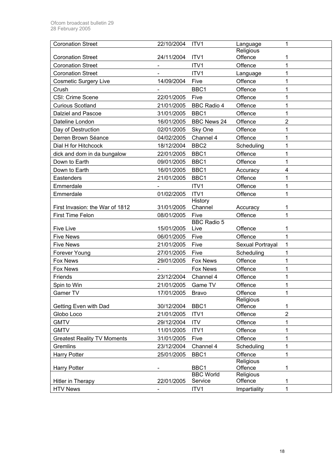| <b>Coronation Street</b>           | 22/10/2004 | ITV1                     | Language             | 1              |
|------------------------------------|------------|--------------------------|----------------------|----------------|
|                                    |            |                          | Religious            |                |
| <b>Coronation Street</b>           | 24/11/2004 | ITV1                     | Offence              | 1              |
| <b>Coronation Street</b>           |            | ITV1                     | Offence              | 1              |
| <b>Coronation Street</b>           |            | ITV1                     | Language             | 1              |
| <b>Cosmetic Surgery Live</b>       | 14/09/2004 | Five                     | Offence              | 1              |
| Crush                              |            | BBC1                     | Offence              | 1              |
| CSI: Crime Scene                   | 22/01/2005 | Five                     | Offence              | 1              |
| <b>Curious Scotland</b>            | 21/01/2005 | <b>BBC Radio 4</b>       | Offence              | 1              |
| Dalziel and Pascoe                 | 31/01/2005 | BBC1                     | Offence              | 1              |
| Dateline London                    | 16/01/2005 | <b>BBC News 24</b>       | Offence              | 2              |
| Day of Destruction                 | 02/01/2005 | Sky One                  | Offence              | 1              |
| Derren Brown Séance                | 04/02/2005 | Channel 4                | Offence              | 1              |
| Dial H for Hitchcock               | 18/12/2004 | BBC <sub>2</sub>         | Scheduling           | 1              |
| dick and dom in da bungalow        | 22/01/2005 | BBC1                     | Offence              | 1              |
| Down to Earth                      | 09/01/2005 | BBC1                     | Offence              | 1              |
| Down to Earth                      | 16/01/2005 | BBC1                     | Accuracy             | 4              |
| Eastenders                         | 21/01/2005 | BBC1                     | Offence              | 1              |
| Emmerdale                          |            | ITV1                     | Offence              | 1              |
| Emmerdale                          | 01/02/2005 | ITV1                     | Offence              | 1              |
|                                    |            | History                  |                      |                |
| First Invasion: the War of 1812    | 31/01/2005 | Channel                  | Accuracy             | 1              |
| First Time Felon                   | 08/01/2005 | Five                     | Offence              | 1              |
|                                    |            | <b>BBC Radio 5</b>       |                      |                |
| <b>Five Live</b>                   | 15/01/2005 | Live                     | Offence              | 1              |
| <b>Five News</b>                   | 06/01/2005 | Five                     | Offence              | 1              |
| <b>Five News</b>                   | 21/01/2005 | Five                     | Sexual Portrayal     | 1              |
| Forever Young                      | 27/01/2005 | Five                     | Scheduling           | 1              |
| <b>Fox News</b>                    | 29/01/2005 | Fox News                 | Offence              | 1              |
| <b>Fox News</b>                    |            | Fox News                 | Offence              | 1              |
| Friends                            | 23/12/2004 | Channel 4                | Offence              | 1              |
| Spin to Win                        | 21/01/2005 | Game TV                  | Offence              | 1              |
| Gamer TV                           | 17/01/2005 | Bravo                    | Offence              | $\mathbf{1}$   |
|                                    |            |                          | Religious            |                |
| Getting Even with Dad              | 30/12/2004 | BBC1                     | Offence              | 1              |
| Globo Loco                         | 21/01/2005 | ITV1                     | Offence              | $\overline{2}$ |
| <b>GMTV</b>                        | 29/12/2004 | <b>ITV</b>               | Offence              | 1              |
| <b>GMTV</b>                        | 11/01/2005 | ITV1                     | Offence              | 1              |
| <b>Greatest Reality TV Moments</b> | 31/01/2005 | Five                     | Offence              | 1              |
| Gremlins                           | 23/12/2004 | Channel 4                | Scheduling           | 1              |
| <b>Harry Potter</b>                | 25/01/2005 | BBC1                     | Offence              | 1              |
|                                    |            |                          | Religious            |                |
| <b>Harry Potter</b>                |            | BBC1<br><b>BBC World</b> | Offence<br>Religious | 1              |
| Hitler in Therapy                  | 22/01/2005 | Service                  | Offence              | 1              |
| <b>HTV News</b>                    | -          | ITV1                     | Impartiality         | 1              |
|                                    |            |                          |                      |                |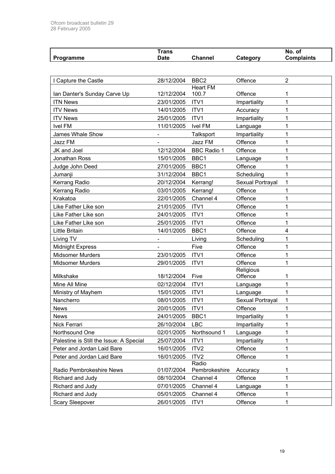| Programme                               | <b>Trans</b><br><b>Date</b> | <b>Channel</b>     | Category             | No. of<br><b>Complaints</b> |
|-----------------------------------------|-----------------------------|--------------------|----------------------|-----------------------------|
|                                         |                             |                    |                      |                             |
| I Capture the Castle                    | 28/12/2004                  | BBC <sub>2</sub>   | Offence              | $\overline{2}$              |
|                                         |                             | <b>Heart FM</b>    |                      |                             |
| Ian Danter's Sunday Carve Up            | 12/12/2004                  | 100.7              | Offence              | 1                           |
| <b>ITN News</b>                         | 23/01/2005                  | ITV1               | Impartiality         | 1                           |
| <b>ITV News</b>                         | 14/01/2005                  | ITV1               | Accuracy             | 1                           |
| <b>ITV News</b>                         | 25/01/2005                  | ITV1               | Impartiality         | 1                           |
| <b>Ivel FM</b>                          | 11/01/2005                  | <b>Ivel FM</b>     | Language             | 1                           |
| James Whale Show                        |                             | Talksport          | Impartiality         | 1                           |
| Jazz FM                                 |                             | Jazz FM            | Offence              | 1                           |
| JK and Joel                             | 12/12/2004                  | <b>BBC Radio 1</b> | Offence              | 1                           |
| <b>Jonathan Ross</b>                    | 15/01/2005                  | BBC1               | Language             | 1                           |
| Judge John Deed                         | 27/01/2005                  | BBC1               | Offence              | 1                           |
| Jumanji                                 | 31/12/2004                  | BBC1               | Scheduling           | 1                           |
| Kerrang Radio                           | 20/12/2004                  | Kerrang!           | Sexual Portrayal     | 1                           |
| Kerrang Radio                           | 03/01/2005                  | Kerrang!           | Offence              | 1                           |
| Krakatoa                                | 22/01/2005                  | Channel 4          | Offence              | 1                           |
| Like Father Like son                    | 21/01/2005                  | ITV1               | Offence              | 1                           |
| Like Father Like son                    | 24/01/2005                  | ITV1               | Offence              | 1                           |
| Like Father Like son                    | 25/01/2005                  | ITV1               | Offence              | 1                           |
| <b>Little Britain</b>                   | 14/01/2005                  | BBC1               | Offence              | 4                           |
| Living TV                               |                             | Living             | Scheduling           | 1                           |
| <b>Midnight Express</b>                 |                             | Five               | Offence              | 1                           |
| <b>Midsomer Murders</b>                 | 23/01/2005                  | ITV1               | Offence              | 1                           |
| <b>Midsomer Murders</b>                 | 29/01/2005                  | ITV1               | Offence              | 1                           |
| Milkshake                               | 18/12/2004                  | Five               | Religious<br>Offence | 1                           |
| Mine All Mine                           | 02/12/2004                  | ITV1               | Language             | 1                           |
| Ministry of Mayhem                      | 15/01/2005                  | ITV1               | Language             | 1                           |
| Nancherro                               | 08/01/2005                  | ITV1               | Sexual Portrayal     |                             |
| <b>News</b>                             | 20/01/2005                  | ITV1               | Offence              | 1                           |
| <b>News</b>                             | 24/01/2005                  | BBC1               | Impartiality         | 1                           |
| Nick Ferrari                            | 26/10/2004                  | <b>LBC</b>         | Impartiality         | 1                           |
| Northsound One                          | 02/01/2005                  | Northsound 1       | Language             | 1                           |
| Palestine is Still the Issue: A Special | 25/07/2004                  | ITV1               | Impartiality         | 1                           |
| Peter and Jordan Laid Bare              | 16/01/2005                  | ITV <sub>2</sub>   | Offence              | 1                           |
| Peter and Jordan Laid Bare              | 16/01/2005                  | ITV <sub>2</sub>   | Offence              | 1                           |
|                                         |                             | Radio              |                      |                             |
| Radio Pembrokeshire News                | 01/07/2004                  | Pembrokeshire      | Accuracy             | 1                           |
| Richard and Judy                        | 08/10/2004                  | Channel 4          | Offence              | 1                           |
| Richard and Judy                        | 07/01/2005                  | Channel 4          | Language             | 1                           |
| Richard and Judy                        | 05/01/2005                  | Channel 4          | Offence              | 1                           |
| Scary Sleepover                         | 26/01/2005                  | ITV1               | Offence              | 1                           |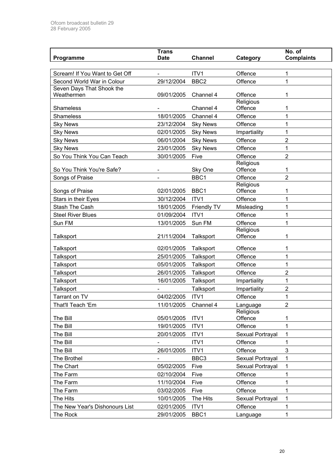|                                    | <b>Trans</b>             |                                    |                         | No. of            |
|------------------------------------|--------------------------|------------------------------------|-------------------------|-------------------|
| Programme                          | <b>Date</b>              | <b>Channel</b>                     | Category                | <b>Complaints</b> |
| Scream! If You Want to Get Off     |                          | ITV1                               | Offence                 | 1                 |
| Second World War in Colour         | 29/12/2004               | BBC <sub>2</sub>                   | Offence                 | 1                 |
| Seven Days That Shook the          |                          |                                    |                         |                   |
| Weathermen                         | 09/01/2005               | Channel 4                          | Offence                 | 1                 |
|                                    |                          |                                    | Religious               |                   |
| Shameless<br><b>Shameless</b>      |                          | Channel 4                          | Offence                 | 1                 |
|                                    | 18/01/2005               | Channel 4                          | Offence<br>Offence      | 1<br>1            |
| <b>Sky News</b><br><b>Sky News</b> | 23/12/2004<br>02/01/2005 | <b>Sky News</b><br><b>Sky News</b> |                         | 1                 |
| <b>Sky News</b>                    | 06/01/2004               | <b>Sky News</b>                    | Impartiality<br>Offence | $\overline{2}$    |
| <b>Sky News</b>                    | 23/01/2005               | <b>Sky News</b>                    | Offence                 | 1                 |
| So You Think You Can Teach         | 30/01/2005               | Five                               | Offence                 | 2                 |
|                                    |                          |                                    | Religious               |                   |
| So You Think You're Safe?          |                          | Sky One                            | Offence                 | 1                 |
| Songs of Praise                    |                          | BBC1                               | Offence                 | $\overline{2}$    |
|                                    |                          |                                    | Religious               |                   |
| Songs of Praise                    | 02/01/2005               | BBC1                               | Offence                 | 1                 |
| Stars in their Eyes                | 30/12/2004               | ITV1                               | Offence                 | 1                 |
| Stash The Cash                     | 18/01/2005               | Friendly TV                        | Misleading              | 1                 |
| <b>Steel River Blues</b>           | 01/09/2004               | ITV1                               | Offence                 | 1                 |
| Sun FM                             | 13/01/2005               | Sun FM                             | Offence<br>Religious    | 1                 |
| Talksport                          | 21/11/2004               | Talksport                          | Offence                 | 1                 |
|                                    |                          |                                    |                         |                   |
| Talksport                          | 02/01/2005<br>25/01/2005 | Talksport                          | Offence<br>Offence      | 1<br>1            |
| Talksport                          |                          | Talksport                          |                         | 1                 |
| Talksport                          | 05/01/2005<br>26/01/2005 | Talksport<br>Talksport             | Offence<br>Offence      | 2                 |
| Talksport                          | 16/01/2005               |                                    | Impartiality            | 1                 |
| Talksport<br>Talksport             |                          | Talksport<br>Talksport             | Impartiality            | 2                 |
| Tarrant on TV                      | 04/02/2005               | ITV1                               | Offence                 | 1                 |
| That'll Teach 'Em                  | 11/01/2005               | Channel 4                          | Language                | $\overline{2}$    |
|                                    |                          |                                    | Religious               |                   |
| The Bill                           | 05/01/2005               | ITV1                               | Offence                 | 1                 |
| The Bill                           | 19/01/2005               | ITV1                               | Offence                 | 1                 |
| The Bill                           | 20/01/2005               | ITV1                               | Sexual Portrayal        | 1                 |
| The Bill                           |                          | ITV1                               | Offence                 | 1                 |
| The Bill                           | 26/01/2005               | ITV1                               | Offence                 | 3                 |
| The Brothel                        |                          | BBC3                               | Sexual Portrayal        | 1                 |
| The Chart                          | 05/02/2005               | Five                               | Sexual Portrayal        | 1                 |
| The Farm                           | 02/10/2004               | Five                               | Offence                 | 1                 |
| The Farm                           | 11/10/2004               | Five                               | Offence                 | 1                 |
| The Farm                           | 03/02/2005               | Five                               | Offence                 | 1                 |
| The Hits                           | 10/01/2005               | The Hits                           | Sexual Portrayal        | 1                 |
| The New Year's Dishonours List     | 02/01/2005               | ITV1                               | Offence                 | 1                 |
| The Rock                           | 29/01/2005               | BBC1                               | Language                | 1                 |